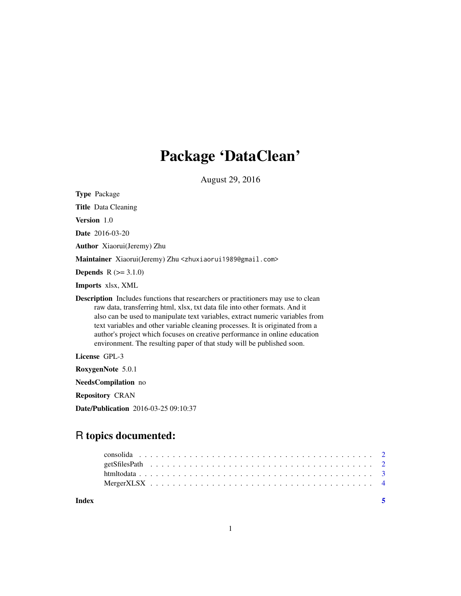# Package 'DataClean'

August 29, 2016

Type Package Title Data Cleaning Version 1.0 Date 2016-03-20 Author Xiaorui(Jeremy) Zhu Maintainer Xiaorui(Jeremy) Zhu <zhuxiaorui1989@gmail.com> **Depends**  $R (= 3.1.0)$ Imports xlsx, XML Description Includes functions that researchers or practitioners may use to clean raw data, transferring html, xlsx, txt data file into other formats. And it also can be used to manipulate text variables, extract numeric variables from text variables and other variable cleaning processes. It is originated from a author's project which focuses on creative performance in online education environment. The resulting paper of that study will be published soon. License GPL-3 RoxygenNote 5.0.1 NeedsCompilation no Repository CRAN Date/Publication 2016-03-25 09:10:37

# R topics documented:

| Index |  |  |  |  |  |  |  |  |  |  |  |  |  |  |  |  |  |  |  |  |
|-------|--|--|--|--|--|--|--|--|--|--|--|--|--|--|--|--|--|--|--|--|
|       |  |  |  |  |  |  |  |  |  |  |  |  |  |  |  |  |  |  |  |  |
|       |  |  |  |  |  |  |  |  |  |  |  |  |  |  |  |  |  |  |  |  |
|       |  |  |  |  |  |  |  |  |  |  |  |  |  |  |  |  |  |  |  |  |
|       |  |  |  |  |  |  |  |  |  |  |  |  |  |  |  |  |  |  |  |  |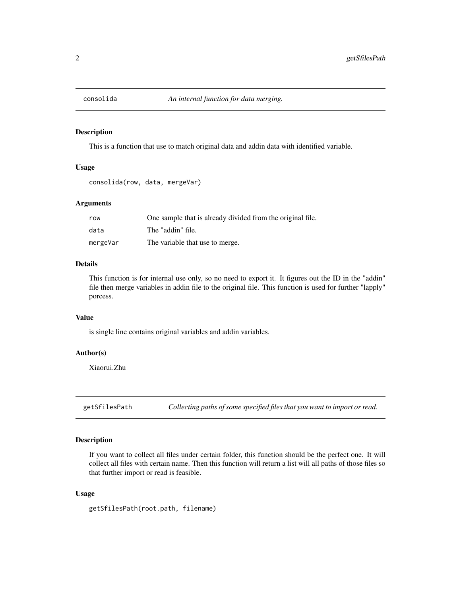<span id="page-1-0"></span>

# Description

This is a function that use to match original data and addin data with identified variable.

#### Usage

```
consolida(row, data, mergeVar)
```
# Arguments

| row      | One sample that is already divided from the original file. |
|----------|------------------------------------------------------------|
| data     | The "addin" file.                                          |
| mergeVar | The variable that use to merge.                            |

# Details

This function is for internal use only, so no need to export it. It figures out the ID in the "addin" file then merge variables in addin file to the original file. This function is used for further "lapply" porcess.

# Value

is single line contains original variables and addin variables.

# Author(s)

Xiaorui.Zhu

getSfilesPath *Collecting paths of some specified files that you want to import or read.*

# Description

If you want to collect all files under certain folder, this function should be the perfect one. It will collect all files with certain name. Then this function will return a list will all paths of those files so that further import or read is feasible.

# Usage

getSfilesPath(root.path, filename)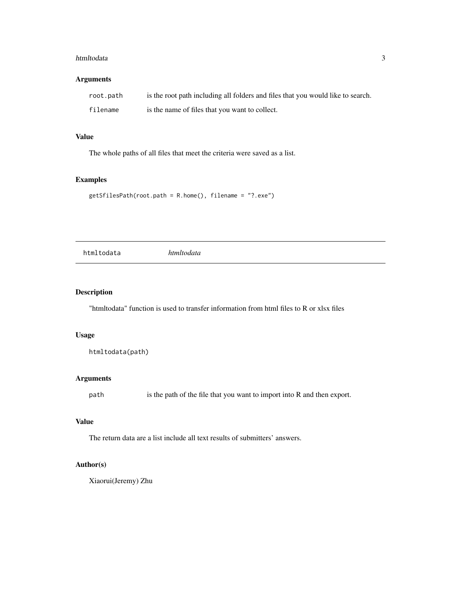#### <span id="page-2-0"></span>htmltodata 3

# Arguments

| root.path | is the root path including all folders and files that you would like to search. |
|-----------|---------------------------------------------------------------------------------|
| filename  | is the name of files that you want to collect.                                  |

# Value

The whole paths of all files that meet the criteria were saved as a list.

# Examples

```
getSfilesPath(root.path = R.home(), filename = "?.exe")
```
htmltodata *htmltodata*

# Description

"htmltodata" function is used to transfer information from html files to R or xlsx files

# Usage

```
htmltodata(path)
```
# Arguments

path is the path of the file that you want to import into R and then export.

# Value

The return data are a list include all text results of submitters' answers.

# Author(s)

Xiaorui(Jeremy) Zhu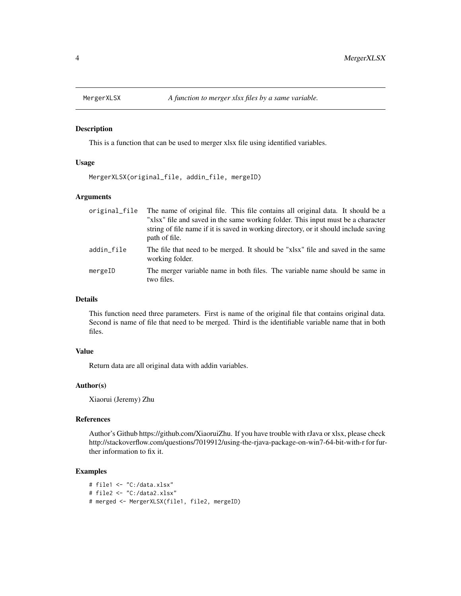<span id="page-3-0"></span>

# Description

This is a function that can be used to merger xlsx file using identified variables.

# Usage

MergerXLSX(original\_file, addin\_file, mergeID)

# Arguments

| original_file | The name of original file. This file contains all original data. It should be a<br>"xlsx" file and saved in the same working folder. This input must be a character<br>string of file name if it is saved in working directory, or it should include saving<br>path of file. |
|---------------|------------------------------------------------------------------------------------------------------------------------------------------------------------------------------------------------------------------------------------------------------------------------------|
| addin_file    | The file that need to be merged. It should be "xlsx" file and saved in the same<br>working folder.                                                                                                                                                                           |
| mergeID       | The merger variable name in both files. The variable name should be same in<br>two files.                                                                                                                                                                                    |

# Details

This function need three parameters. First is name of the original file that contains original data. Second is name of file that need to be merged. Third is the identifiable variable name that in both files.

# Value

Return data are all original data with addin variables.

# Author(s)

Xiaorui (Jeremy) Zhu

# References

Author's Github https://github.com/XiaoruiZhu. If you have trouble with rJava or xlsx, please check http://stackoverflow.com/questions/7019912/using-the-rjava-package-on-win7-64-bit-with-r for further information to fix it.

# Examples

```
# file1 <- "C:/data.xlsx"
# file2 <- "C:/data2.xlsx"
# merged <- MergerXLSX(file1, file2, mergeID)
```